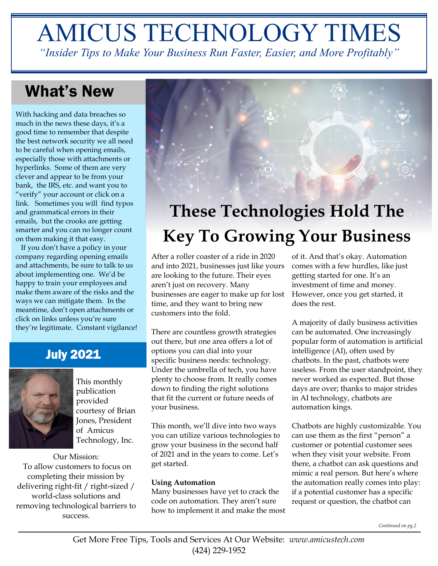# AMICUS TECHNOLOGY TIMES

*"Insider Tips to Make Your Business Run Faster, Easier, and More Profitably"*

### What's New

With hacking and data breaches so much in the news these days, it's a good time to remember that despite the best network security we all need to be careful when opening emails, especially those with attachments or hyperlinks. Some of them are very clever and appear to be from your bank, the IRS, etc. and want you to "verify" your account or click on a link. Sometimes you will find typos and grammatical errors in their emails, but the crooks are getting smarter and you can no longer count on them making it that easy.

 If you don't have a policy in your company regarding opening emails and attachments, be sure to talk to us about implementing one. We'd be happy to train your employees and make them aware of the risks and the ways we can mitigate them. In the meantime, don't open attachments or click on links unless you're sure they're legitimate. Constant vigilance!

### July 2021



This monthly publication provided courtesy of Brian Jones, President of Amicus Technology, Inc.

Our Mission: To allow customers to focus on completing their mission by delivering right-fit / right-sized / world-class solutions and removing technological barriers to success.

## **These Technologies Hold The Key To Growing Your Business**

After a roller coaster of a ride in 2020 and into 2021, businesses just like yours are looking to the future. Their eyes aren't just on recovery. Many businesses are eager to make up for lost time, and they want to bring new customers into the fold.

There are countless growth strategies out there, but one area offers a lot of options you can dial into your specific business needs: technology. Under the umbrella of tech, you have plenty to choose from. It really comes down to finding the right solutions that fit the current or future needs of your business.

This month, we'll dive into two ways you can utilize various technologies to grow your business in the second half of 2021 and in the years to come. Let's get started.

#### **Using Automation**

Many businesses have yet to crack the code on automation. They aren't sure how to implement it and make the most

of it. And that's okay. Automation comes with a few hurdles, like just getting started for one. It's an investment of time and money. However, once you get started, it does the rest.

A majority of daily business activities can be automated. One increasingly popular form of automation is artificial intelligence (AI), often used by chatbots. In the past, chatbots were useless. From the user standpoint, they never worked as expected. But those days are over; thanks to major strides in AI technology, chatbots are automation kings.

Chatbots are highly customizable. You can use them as the first "person" a customer or potential customer sees when they visit your website. From there, a chatbot can ask questions and mimic a real person. But here's where the automation really comes into play: if a potential customer has a specific request or question, the chatbot can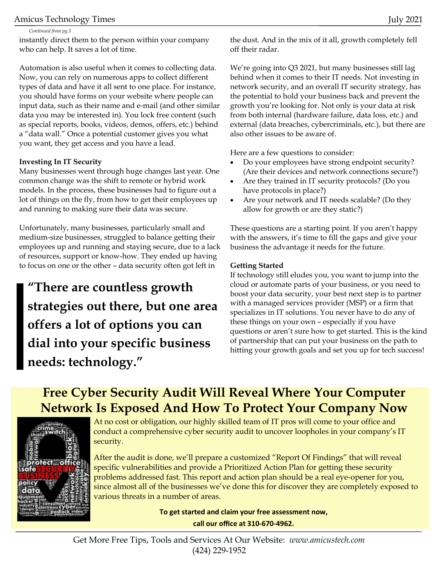#### Amicus Technology Times July 2021

*Continued from pg.1*

instantly direct them to the person within your company who can help. It saves a lot of time.

Automation is also useful when it comes to collecting data. Now, you can rely on numerous apps to collect different types of data and have it all sent to one place. For instance, you should have forms on your website where people can input data, such as their name and e-mail (and other similar data you may be interested in). You lock free content (such as special reports, books, videos, demos, offers, etc.) behind a "data wall." Once a potential customer gives you what you want, they get access and you have a lead.

#### **Investing In IT Security**

Many businesses went through huge changes last year. One common change was the shift to remote or hybrid work models. In the process, these businesses had to figure out a lot of things on the fly, from how to get their employees up and running to making sure their data was secure.

Unfortunately, many businesses, particularly small and medium-size businesses, struggled to balance getting their employees up and running and staying secure, due to a lack of resources, support or know-how. They ended up having to focus on one or the other – data security often got left in

**"There are countless growth strategies out there, but one area offers a lot of options you can dial into your specific business needs: technology."**

the dust. And in the mix of it all, growth completely fell off their radar.

We're going into Q3 2021, but many businesses still lag behind when it comes to their IT needs. Not investing in network security, and an overall IT security strategy, has the potential to hold your business back and prevent the growth you're looking for. Not only is your data at risk from both internal (hardware failure, data loss, etc.) and external (data breaches, cybercriminals, etc.), but there are also other issues to be aware of.

Here are a few questions to consider:

- Do your employees have strong endpoint security? (Are their devices and network connections secure?)
- Are they trained in IT security protocols? (Do you have protocols in place?)
- Are your network and IT needs scalable? (Do they allow for growth or are they static?)

These questions are a starting point. If you aren't happy with the answers, it's time to fill the gaps and give your business the advantage it needs for the future.

#### **Getting Started**

If technology still eludes you, you want to jump into the cloud or automate parts of your business, or you need to boost your data security, your best next step is to partner with a managed services provider (MSP) or a firm that specializes in IT solutions. You never have to do any of these things on your own – especially if you have questions or aren't sure how to get started. This is the kind of partnership that can put your business on the path to hitting your growth goals and set you up for tech success!

### **Free Cyber Security Audit Will Reveal Where Your Computer Network Is Exposed And How To Protect Your Company Now**



At no cost or obligation, our highly skilled team of IT pros will come to your office and conduct a comprehensive cyber security audit to uncover loopholes in your company's IT security.

After the audit is done, we'll prepare a customized "Report Of Findings" that will reveal specific vulnerabilities and provide a Prioritized Action Plan for getting these security problems addressed fast. This report and action plan should be a real eye-opener for you, since almost all of the businesses we've done this for discover they are completely exposed to various threats in a number of areas.

> **To get started and claim your free assessment now, call our office at 310-670-4962.**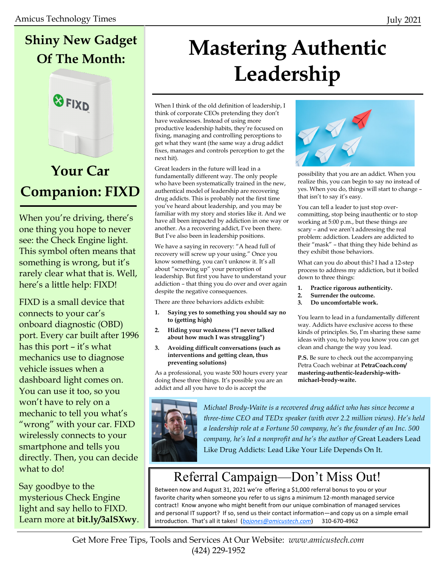### **Shiny New Gadget Of The Month:**



### **Your Car Companion: FIXD**

When you're driving, there's one thing you hope to never see: the Check Engine light. This symbol often means that something is wrong, but it's rarely clear what that is. Well, here's a little help: FIXD!

FIXD is a small device that connects to your car's onboard diagnostic (OBD) port. Every car built after 1996 has this port – it's what mechanics use to diagnose vehicle issues when a dashboard light comes on. You can use it too, so you won't have to rely on a mechanic to tell you what's "wrong" with your car. FIXD wirelessly connects to your smartphone and tells you directly. Then, you can decide what to do!

Say goodbye to the mysterious Check Engine light and say hello to FIXD. Learn more at **bit.ly/3alSXwy**.

## **Mastering Authentic Leadership**

When I think of the old definition of leadership, I think of corporate CEOs pretending they don't have weaknesses. Instead of using more productive leadership habits, they're focused on fixing, managing and controlling perceptions to get what they want (the same way a drug addict fixes, manages and controls perception to get the next hit).

Great leaders in the future will lead in a fundamentally different way. The only people who have been systematically trained in the new, authentical model of leadership are recovering drug addicts. This is probably not the first time you've heard about leadership, and you may be familiar with my story and stories like it. And we have all been impacted by addiction in one way or another. As a recovering addict, I've been there. But I've also been in leadership positions.

We have a saying in recovery: "A head full of recovery will screw up your using." Once you know something, you can't unknow it. It's all about "screwing up" your perception of leadership. But first you have to understand your addiction – that thing you do over and over again despite the negative consequences.

There are three behaviors addicts exhibit:

- **1. Saying yes to something you should say no to (getting high)**
- **2. Hiding your weakness ("I never talked about how much I was struggling")**
- **3. Avoiding difficult conversations (such as interventions and getting clean, thus preventing solutions)**

As a professional, you waste 500 hours every year doing these three things. It's possible you are an addict and all you have to do is accept the



possibility that you are an addict. When you realize this, you can begin to say no instead of yes. When you do, things will start to change – that isn't to say it's easy.

You can tell a leader to just stop overcommitting, stop being inauthentic or to stop working at 5:00 p.m., but these things are scary – and we aren't addressing the real problem: addiction. Leaders are addicted to their "mask" – that thing they hide behind as they exhibit those behaviors.

What can you do about this? I had a 12-step process to address my addiction, but it boiled down to three things:

- **1. Practice rigorous authenticity.**
- **2. Surrender the outcome.**
- **3. Do uncomfortable work.**

You learn to lead in a fundamentally different way. Addicts have exclusive access to these kinds of principles. So, I'm sharing these same ideas with you, to help you know you can get clean and change the way you lead.

**P.S.** Be sure to check out the accompanying Petra Coach webinar at **PetraCoach.com/ mastering-authentic-leadership-withmichael-brody-waite.**



*Michael Brody-Waite is a recovered drug addict who has since become a three-time CEO and TEDx speaker (with over 2.2 million views). He's held a leadership role at a Fortune 50 company, he's the founder of an Inc. 500 company, he's led a nonprofit and he's the author of* Great Leaders Lead Like Drug Addicts: Lead Like Your Life Depends On It.

### Referral Campaign—Don't Miss Out!

Between now and August 31, 2021 we're offering a \$1,000 referral bonus to you or your favorite charity when someone you refer to us signs a minimum 12-month managed service contract! Know anyone who might benefit from our unique combination of managed services and personal IT support? If so, send us their contact information—and copy us on a simple email introduction. That's all it takes! (*[bajones@amicustech.com](mailto:bajones@amicustech.com?subject=I%20hav%20a%20referral%20for%20you!)*) 310-670-4962